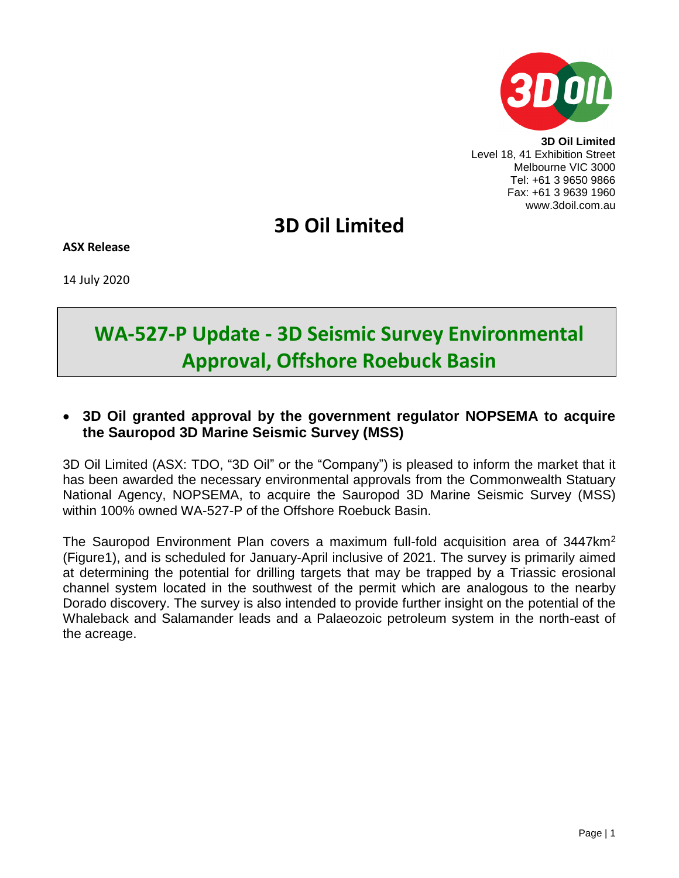

**3D Oil Limited** Level 18, 41 Exhibition Street Melbourne VIC 3000 Tel: +61 3 9650 9866 Fax: +61 3 9639 1960 www.3doil.com.au

## **3D Oil Limited**

**ASX Release**

14 July 2020

# **WA-527-P Update - 3D Seismic Survey Environmental Approval, Offshore Roebuck Basin**

## **3D Oil granted approval by the government regulator NOPSEMA to acquire the Sauropod 3D Marine Seismic Survey (MSS)**

3D Oil Limited (ASX: TDO, "3D Oil" or the "Company") is pleased to inform the market that it has been awarded the necessary environmental approvals from the Commonwealth Statuary National Agency, NOPSEMA, to acquire the Sauropod 3D Marine Seismic Survey (MSS) within 100% owned WA-527-P of the Offshore Roebuck Basin.

The Sauropod Environment Plan covers a maximum full-fold acquisition area of 3447km<sup>2</sup> (Figure1), and is scheduled for January-April inclusive of 2021. The survey is primarily aimed at determining the potential for drilling targets that may be trapped by a Triassic erosional channel system located in the southwest of the permit which are analogous to the nearby Dorado discovery. The survey is also intended to provide further insight on the potential of the Whaleback and Salamander leads and a Palaeozoic petroleum system in the north-east of the acreage.